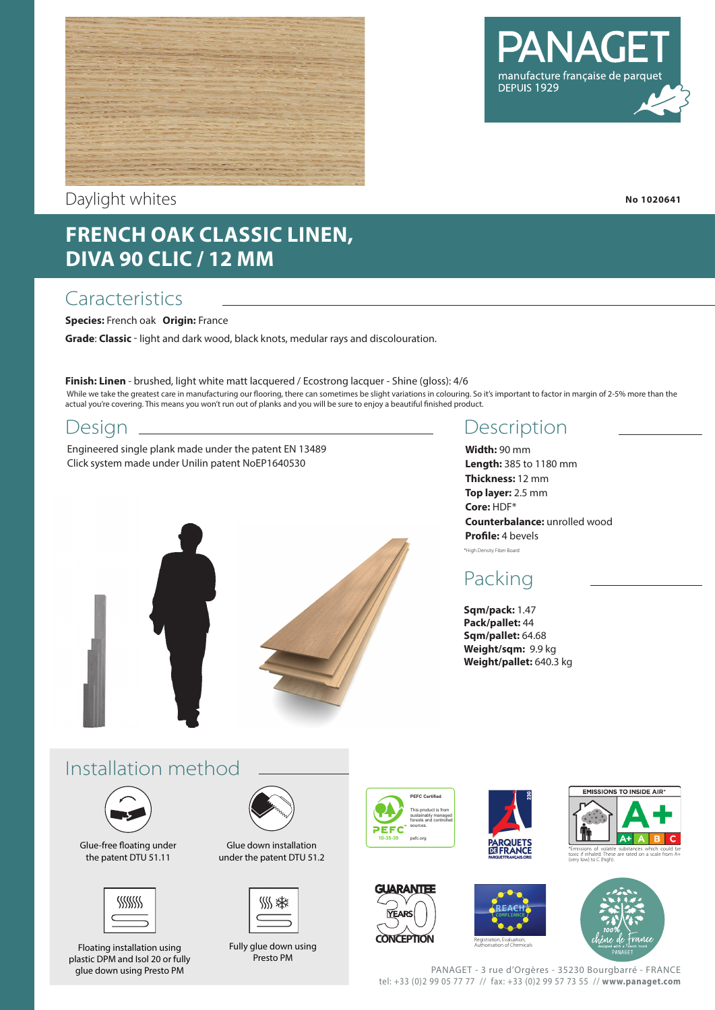



#### Daylight whites

# **FRENCH OAK CLASSIC LINEN, DIVA 90 CLIC / 12 MM**

## **Caracteristics**

**Species:** French oak **Origin:** France

**Grade**: **Classic** - light and dark wood, black knots, medular rays and discolouration.

While we take the greatest care in manufacturing our flooring, there can sometimes be slight variations in colouring. So it's important to factor in margin of 2-5% more than the actual you're covering. This means you won't run out of planks and you will be sure to enjoy a beautiful finished product. **Finish: Linen** - brushed, light white matt lacquered / Ecostrong lacquer - Shine (gloss): 4/6

#### Design

Engineered single plank made under the patent EN 13489 Click system made under Unilin patent NoEP1640530



## Description

**Width:** 90 mm **Length:** 385 to 1180 mm **Thickness:** 12 mm **Top layer:** 2.5 mm **Core:** HDF\* **Counterbalance:** unrolled wood **Profile:** 4 bevels \*High Density Fiber Board

# Packing

**Sqm/pack:** 1.47 **Pack/pallet:** 44 **Sqm/pallet:** 64.68 **Weight/sqm:** 9.9 kg **Weight/pallet:** 640.3 kg

# Installation method



Glue-free floating under the patent DTU 51.11



Floating installation using plastic DPM and Isol 20 or fully glue down using Presto PM



Glue down installation under the patent DTU 51.2



Fully glue down using Presto PM



**CONCEPTION** 

**YEARS** 

**GUARANTEE** 







PANAGET - 3 rue d'Orgères - 35230 Bourgbarré - FRANCE tel: +33 (0)2 99 05 77 77 // fax: +33 (0)2 99 57 73 55 // **www.panaget.com**

Authorisation of Chemicals

**No 1020641**